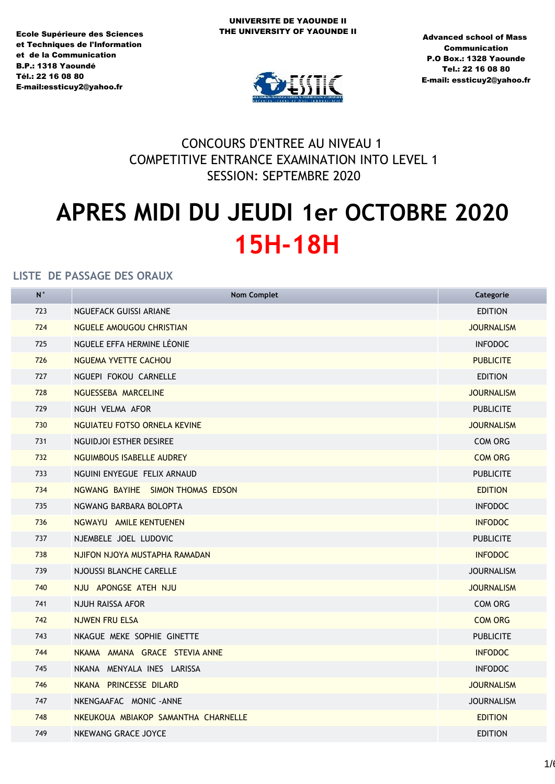Ecole Supérieure des Sciences et Techniques de l'Information et de la Communication **B.P.: 1318 Yaoundé** TÈl.: 22 16 08 80 E-mail:essticuy2@yahoo.fr



Advanced school of Mass Communication P.O Box.: 1328 Yaounde Tel.: 22 16 08 80 E-mail: essticuy2@yahoo.fr

# CONCOURS D'ENTREE AU NIVEAU 1 COMPETITIVE ENTRANCE EXAMINATION INTO LEVEL 1 SESSION: SEPTEMBRE 2020

# **APRES MIDI DU JEUDI 1er OCTOBRE 2020 15H-18H**

| <b>Nom Complet</b>                  | Categorie         |
|-------------------------------------|-------------------|
| NGUEFACK GUISSI ARIANE              | <b>EDITION</b>    |
| NGUELE AMOUGOU CHRISTIAN            | <b>JOURNALISM</b> |
| NGUELE EFFA HERMINE LÉONIE          | <b>INFODOC</b>    |
| <b>NGUEMA YVETTE CACHOU</b>         | <b>PUBLICITE</b>  |
| NGUEPI FOKOU CARNELLE               | <b>EDITION</b>    |
| NGUESSEBA MARCELINE                 | <b>JOURNALISM</b> |
| NGUH VELMA AFOR                     | <b>PUBLICITE</b>  |
| NGUIATEU FOTSO ORNELA KEVINE        | <b>JOURNALISM</b> |
| NGUIDJOI ESTHER DESIREE             | <b>COM ORG</b>    |
| NGUIMBOUS ISABELLE AUDREY           | <b>COM ORG</b>    |
| NGUINI ENYEGUE FELIX ARNAUD         | <b>PUBLICITE</b>  |
| NGWANG BAYIHE SIMON THOMAS EDSON    | <b>EDITION</b>    |
| NGWANG BARBARA BOLOPTA              | <b>INFODOC</b>    |
| NGWAYU AMILE KENTUENEN              | <b>INFODOC</b>    |
| NJEMBELE JOEL LUDOVIC               | <b>PUBLICITE</b>  |
| NJIFON NJOYA MUSTAPHA RAMADAN       | <b>INFODOC</b>    |
| NJOUSSI BLANCHE CARELLE             | <b>JOURNALISM</b> |
| NJU APONGSE ATEH NJU                | <b>JOURNALISM</b> |
| NJUH RAISSA AFOR                    | <b>COM ORG</b>    |
| <b>NJWEN FRU ELSA</b>               | <b>COM ORG</b>    |
| NKAGUE MEKE SOPHIE GINETTE          | <b>PUBLICITE</b>  |
| NKAMA AMANA GRACE STEVIA ANNE       | <b>INFODOC</b>    |
| NKANA MENYALA INES LARISSA          | <b>INFODOC</b>    |
| NKANA PRINCESSE DILARD              | <b>JOURNALISM</b> |
| NKENGAAFAC MONIC-ANNE               | <b>JOURNALISM</b> |
| NKEUKOUA MBIAKOP SAMANTHA CHARNELLE | <b>EDITION</b>    |
| NKEWANG GRACE JOYCE                 | <b>EDITION</b>    |
|                                     |                   |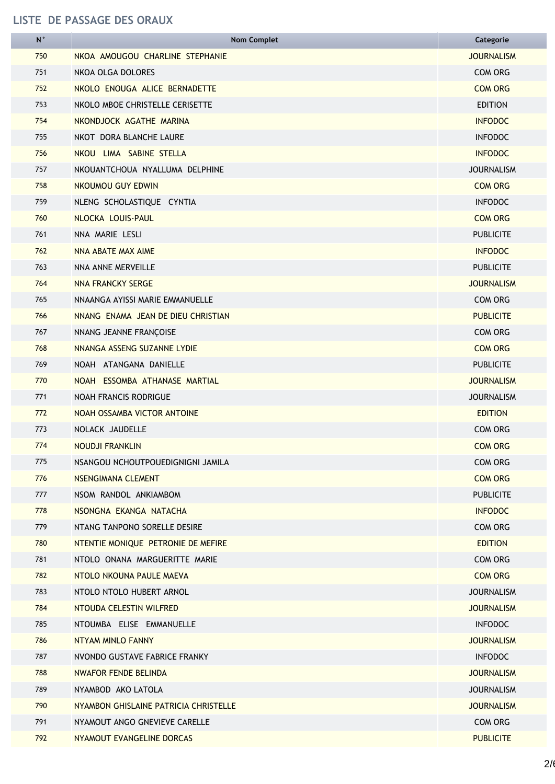| N   | <b>Nom Complet</b>                    | Categorie         |
|-----|---------------------------------------|-------------------|
| 750 | NKOA AMOUGOU CHARLINE STEPHANIE       | <b>JOURNALISM</b> |
| 751 | NKOA OLGA DOLORES                     | <b>COM ORG</b>    |
| 752 | NKOLO ENOUGA ALICE BERNADETTE         | <b>COM ORG</b>    |
| 753 | NKOLO MBOE CHRISTELLE CERISETTE       | <b>EDITION</b>    |
| 754 | NKONDJOCK AGATHE MARINA               | <b>INFODOC</b>    |
| 755 | NKOT DORA BLANCHE LAURE               | <b>INFODOC</b>    |
| 756 | NKOU LIMA SABINE STELLA               | <b>INFODOC</b>    |
| 757 | NKOUANTCHOUA NYALLUMA DELPHINE        | <b>JOURNALISM</b> |
| 758 | NKOUMOU GUY EDWIN                     | <b>COM ORG</b>    |
| 759 | NLENG SCHOLASTIQUE CYNTIA             | <b>INFODOC</b>    |
| 760 | NLOCKA LOUIS-PAUL                     | <b>COM ORG</b>    |
| 761 | NNA MARIE LESLI                       | <b>PUBLICITE</b>  |
| 762 | NNA ABATE MAX AIME                    | <b>INFODOC</b>    |
| 763 | NNA ANNE MERVEILLE                    | <b>PUBLICITE</b>  |
| 764 | NNA FRANCKY SERGE                     | <b>JOURNALISM</b> |
| 765 | NNAANGA AYISSI MARIE EMMANUELLE       | <b>COM ORG</b>    |
| 766 | NNANG ENAMA JEAN DE DIEU CHRISTIAN    | <b>PUBLICITE</b>  |
| 767 | NNANG JEANNE FRANÇOISE                | <b>COM ORG</b>    |
| 768 | NNANGA ASSENG SUZANNE LYDIE           | <b>COM ORG</b>    |
| 769 | NOAH ATANGANA DANIELLE                | <b>PUBLICITE</b>  |
| 770 | NOAH ESSOMBA ATHANASE MARTIAL         | <b>JOURNALISM</b> |
| 771 | <b>NOAH FRANCIS RODRIGUE</b>          | <b>JOURNALISM</b> |
| 772 | NOAH OSSAMBA VICTOR ANTOINE           | <b>EDITION</b>    |
| 773 | NOLACK JAUDELLE                       | <b>COM ORG</b>    |
| 774 | NOUDJI FRANKLIN                       | <b>COM ORG</b>    |
| 775 | NSANGOU NCHOUTPOUEDIGNIGNI JAMILA     | <b>COM ORG</b>    |
| 776 | NSENGIMANA CLEMENT                    | <b>COM ORG</b>    |
| 777 | NSOM RANDOL ANKIAMBOM                 | <b>PUBLICITE</b>  |
| 778 | NSONGNA EKANGA NATACHA                | <b>INFODOC</b>    |
| 779 | NTANG TANPONO SORELLE DESIRE          | <b>COM ORG</b>    |
| 780 | NTENTIE MONIQUE PETRONIE DE MEFIRE    | <b>EDITION</b>    |
| 781 | NTOLO ONANA MARGUERITTE MARIE         | <b>COM ORG</b>    |
| 782 | NTOLO NKOUNA PAULE MAEVA              | <b>COM ORG</b>    |
| 783 | NTOLO NTOLO HUBERT ARNOL              | <b>JOURNALISM</b> |
| 784 | NTOUDA CELESTIN WILFRED               | <b>JOURNALISM</b> |
| 785 | NTOUMBA ELISE EMMANUELLE              | <b>INFODOC</b>    |
| 786 | NTYAM MINLO FANNY                     | <b>JOURNALISM</b> |
| 787 | NVONDO GUSTAVE FABRICE FRANKY         | <b>INFODOC</b>    |
| 788 | NWAFOR FENDE BELINDA                  | <b>JOURNALISM</b> |
| 789 | NYAMBOD AKO LATOLA                    | <b>JOURNALISM</b> |
| 790 | NYAMBON GHISLAINE PATRICIA CHRISTELLE | <b>JOURNALISM</b> |
| 791 | NYAMOUT ANGO GNEVIEVE CARELLE         | COM ORG           |
| 792 | NYAMOUT EVANGELINE DORCAS             | <b>PUBLICITE</b>  |
|     |                                       |                   |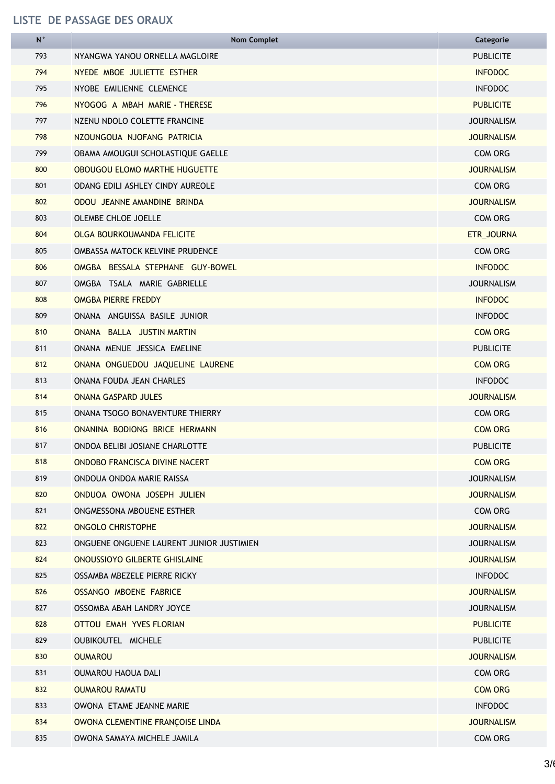| N   | <b>Nom Complet</b>                       | Categorie         |
|-----|------------------------------------------|-------------------|
| 793 | NYANGWA YANOU ORNELLA MAGLOIRE           | <b>PUBLICITE</b>  |
| 794 | NYEDE MBOE JULIETTE ESTHER               | <b>INFODOC</b>    |
| 795 | NYOBE EMILIENNE CLEMENCE                 | <b>INFODOC</b>    |
| 796 | NYOGOG A MBAH MARIE - THERESE            | <b>PUBLICITE</b>  |
| 797 | NZENU NDOLO COLETTE FRANCINE             | <b>JOURNALISM</b> |
| 798 | NZOUNGOUA NJOFANG PATRICIA               | <b>JOURNALISM</b> |
| 799 | OBAMA AMOUGUI SCHOLASTIQUE GAELLE        | COM ORG           |
| 800 | <b>OBOUGOU ELOMO MARTHE HUGUETTE</b>     | <b>JOURNALISM</b> |
| 801 | <b>ODANG EDILI ASHLEY CINDY AUREOLE</b>  | COM ORG           |
| 802 | ODOU JEANNE AMANDINE BRINDA              | <b>JOURNALISM</b> |
| 803 | <b>OLEMBE CHLOE JOELLE</b>               | <b>COM ORG</b>    |
| 804 | <b>OLGA BOURKOUMANDA FELICITE</b>        | ETR_JOURNA        |
| 805 | OMBASSA MATOCK KELVINE PRUDENCE          | <b>COM ORG</b>    |
| 806 | OMGBA BESSALA STEPHANE GUY-BOWEL         | <b>INFODOC</b>    |
| 807 | OMGBA TSALA MARIE GABRIELLE              | <b>JOURNALISM</b> |
| 808 | OMGBA PIERRE FREDDY                      | <b>INFODOC</b>    |
| 809 | ONANA ANGUISSA BASILE JUNIOR             | <b>INFODOC</b>    |
| 810 | ONANA BALLA JUSTIN MARTIN                | <b>COM ORG</b>    |
| 811 | ONANA MENUE JESSICA EMELINE              | <b>PUBLICITE</b>  |
| 812 | ONANA ONGUEDOU JAQUELINE LAURENE         | <b>COM ORG</b>    |
| 813 | ONANA FOUDA JEAN CHARLES                 | <b>INFODOC</b>    |
| 814 | <b>ONANA GASPARD JULES</b>               | <b>JOURNALISM</b> |
| 815 | ONANA TSOGO BONAVENTURE THIERRY          | COM ORG           |
| 816 | ONANINA BODIONG BRICE HERMANN            | <b>COM ORG</b>    |
| 817 | ONDOA BELIBI JOSIANE CHARLOTTE           | <b>PUBLICITE</b>  |
| 818 | ONDOBO FRANCISCA DIVINE NACERT           | <b>COM ORG</b>    |
| 819 | ONDOUA ONDOA MARIE RAISSA                | <b>JOURNALISM</b> |
| 820 | ONDUOA OWONA JOSEPH JULIEN               | <b>JOURNALISM</b> |
| 821 | ONGMESSONA MBOUENE ESTHER                | COM ORG           |
| 822 | <b>ONGOLO CHRISTOPHE</b>                 | <b>JOURNALISM</b> |
| 823 | ONGUENE ONGUENE LAURENT JUNIOR JUSTIMIEN | <b>JOURNALISM</b> |
| 824 | <b>ONOUSSIOYO GILBERTE GHISLAINE</b>     | <b>JOURNALISM</b> |
| 825 | OSSAMBA MBEZELE PIERRE RICKY             | <b>INFODOC</b>    |
| 826 | OSSANGO MBOENE FABRICE                   | <b>JOURNALISM</b> |
| 827 | OSSOMBA ABAH LANDRY JOYCE                | <b>JOURNALISM</b> |
| 828 | OTTOU EMAH YVES FLORIAN                  | <b>PUBLICITE</b>  |
| 829 | <b>OUBIKOUTEL MICHELE</b>                | <b>PUBLICITE</b>  |
| 830 | <b>OUMAROU</b>                           | <b>JOURNALISM</b> |
| 831 | <b>OUMAROU HAOUA DALI</b>                | COM ORG           |
| 832 | <b>OUMAROU RAMATU</b>                    | <b>COM ORG</b>    |
| 833 | OWONA ETAME JEANNE MARIE                 | <b>INFODOC</b>    |
| 834 | OWONA CLEMENTINE FRANÇOISE LINDA         | <b>JOURNALISM</b> |
| 835 | OWONA SAMAYA MICHELE JAMILA              | COM ORG           |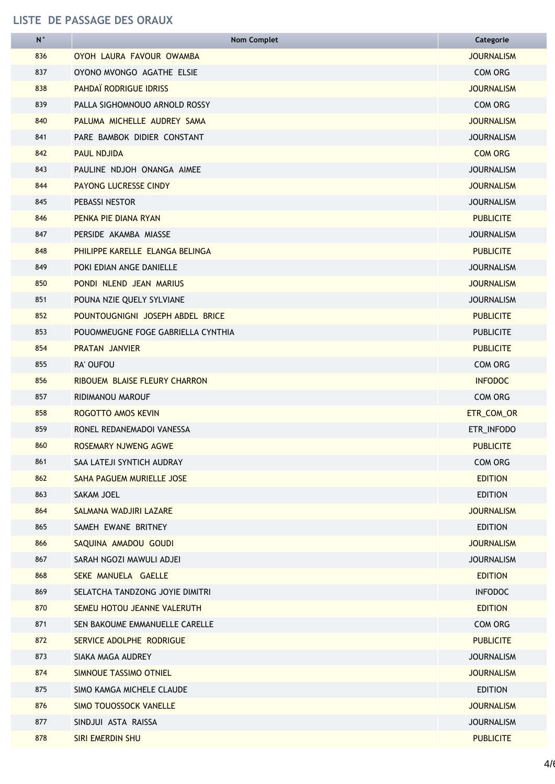| N   | <b>Nom Complet</b>                 | Categorie         |
|-----|------------------------------------|-------------------|
| 836 | OYOH LAURA FAVOUR OWAMBA           | <b>JOURNALISM</b> |
| 837 | OYONO MVONGO AGATHE ELSIE          | COM ORG           |
| 838 | PAHDAÏ RODRIGUE IDRISS             | <b>JOURNALISM</b> |
| 839 | PALLA SIGHOMNOUO ARNOLD ROSSY      | COM ORG           |
| 840 | PALUMA MICHELLE AUDREY SAMA        | <b>JOURNALISM</b> |
| 841 | PARE BAMBOK DIDIER CONSTANT        | <b>JOURNALISM</b> |
| 842 | <b>PAUL NDJIDA</b>                 | <b>COM ORG</b>    |
| 843 | PAULINE NDJOH ONANGA AIMEE         | <b>JOURNALISM</b> |
| 844 | <b>PAYONG LUCRESSE CINDY</b>       | <b>JOURNALISM</b> |
| 845 | PEBASSI NESTOR                     | <b>JOURNALISM</b> |
| 846 | PENKA PIE DIANA RYAN               | <b>PUBLICITE</b>  |
| 847 | PERSIDE AKAMBA MIASSE              | <b>JOURNALISM</b> |
| 848 | PHILIPPE KARELLE ELANGA BELINGA    | <b>PUBLICITE</b>  |
| 849 | POKI EDIAN ANGE DANIELLE           | <b>JOURNALISM</b> |
| 850 | PONDI NLEND JEAN MARIUS            | <b>JOURNALISM</b> |
| 851 | POUNA NZIE QUELY SYLVIANE          | <b>JOURNALISM</b> |
| 852 | POUNTOUGNIGNI JOSEPH ABDEL BRICE   | <b>PUBLICITE</b>  |
| 853 | POUOMMEUGNE FOGE GABRIELLA CYNTHIA | <b>PUBLICITE</b>  |
| 854 | <b>PRATAN JANVIER</b>              | <b>PUBLICITE</b>  |
| 855 | RA' OUFOU                          | COM ORG           |
| 856 | RIBOUEM BLAISE FLEURY CHARRON      | <b>INFODOC</b>    |
| 857 | RIDIMANOU MAROUF                   | COM ORG           |
| 858 | ROGOTTO AMOS KEVIN                 | ETR_COM_OR        |
| 859 | RONEL REDANEMADOI VANESSA          | ETR_INFODO        |
| 860 | ROSEMARY NJWENG AGWE               | <b>PUBLICITE</b>  |
| 861 | SAA LATEJI SYNTICH AUDRAY          | <b>COM ORG</b>    |
| 862 | SAHA PAGUEM MURIELLE JOSE          | <b>EDITION</b>    |
| 863 | SAKAM JOEL                         | <b>EDITION</b>    |
| 864 | SALMANA WADJIRI LAZARE             | <b>JOURNALISM</b> |
| 865 | SAMEH EWANE BRITNEY                | <b>EDITION</b>    |
| 866 | SAQUINA AMADOU GOUDI               | <b>JOURNALISM</b> |
| 867 | SARAH NGOZI MAWULI ADJEI           | <b>JOURNALISM</b> |
| 868 | SEKE MANUELA GAELLE                | <b>EDITION</b>    |
| 869 | SELATCHA TANDZONG JOYIE DIMITRI    | <b>INFODOC</b>    |
| 870 | SEMEU HOTOU JEANNE VALERUTH        | <b>EDITION</b>    |
| 871 | SEN BAKOUME EMMANUELLE CARELLE     | COM ORG           |
| 872 | SERVICE ADOLPHE RODRIGUE           | <b>PUBLICITE</b>  |
| 873 | SIAKA MAGA AUDREY                  | <b>JOURNALISM</b> |
| 874 | SIMNOUE TASSIMO OTNIEL             | <b>JOURNALISM</b> |
| 875 | SIMO KAMGA MICHELE CLAUDE          | <b>EDITION</b>    |
| 876 | <b>SIMO TOUOSSOCK VANELLE</b>      | <b>JOURNALISM</b> |
| 877 | SINDJUI ASTA RAISSA                | <b>JOURNALISM</b> |
| 878 | SIRI EMERDIN SHU                   | <b>PUBLICITE</b>  |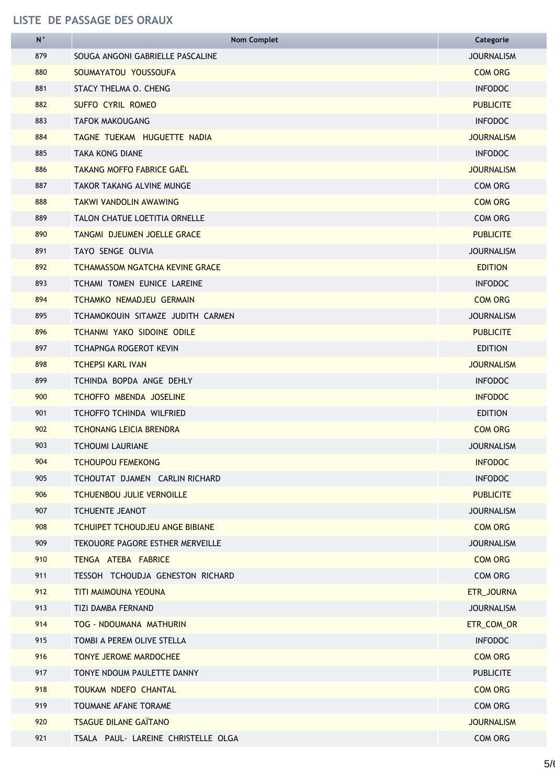| N   | <b>Nom Complet</b>                     | Categorie         |
|-----|----------------------------------------|-------------------|
| 879 | SOUGA ANGONI GABRIELLE PASCALINE       | <b>JOURNALISM</b> |
| 880 | SOUMAYATOU YOUSSOUFA                   | <b>COM ORG</b>    |
| 881 | STACY THELMA O. CHENG                  | <b>INFODOC</b>    |
| 882 | <b>SUFFO CYRIL ROMEO</b>               | <b>PUBLICITE</b>  |
| 883 | <b>TAFOK MAKOUGANG</b>                 | <b>INFODOC</b>    |
| 884 | TAGNE TUEKAM HUGUETTE NADIA            | <b>JOURNALISM</b> |
| 885 | <b>TAKA KONG DIANE</b>                 | <b>INFODOC</b>    |
| 886 | <b>TAKANG MOFFO FABRICE GAËL</b>       | <b>JOURNALISM</b> |
| 887 | <b>TAKOR TAKANG ALVINE MUNGE</b>       | COM ORG           |
| 888 | TAKWI VANDOLIN AWAWING                 | <b>COM ORG</b>    |
| 889 | <b>TALON CHATUE LOETITIA ORNELLE</b>   | COM ORG           |
| 890 | TANGMI DJEUMEN JOELLE GRACE            | <b>PUBLICITE</b>  |
| 891 | TAYO SENGE OLIVIA                      | <b>JOURNALISM</b> |
| 892 | <b>TCHAMASSOM NGATCHA KEVINE GRACE</b> | <b>EDITION</b>    |
| 893 | TCHAMI TOMEN EUNICE LAREINE            | <b>INFODOC</b>    |
| 894 | <b>TCHAMKO NEMADJEU GERMAIN</b>        | <b>COM ORG</b>    |
| 895 | TCHAMOKOUIN SITAMZE JUDITH CARMEN      | <b>JOURNALISM</b> |
| 896 | <b>TCHANMI YAKO SIDOINE ODILE</b>      | <b>PUBLICITE</b>  |
| 897 | TCHAPNGA ROGEROT KEVIN                 | <b>EDITION</b>    |
| 898 | <b>TCHEPSI KARL IVAN</b>               | <b>JOURNALISM</b> |
| 899 | TCHINDA BOPDA ANGE DEHLY               | <b>INFODOC</b>    |
| 900 | TCHOFFO MBENDA JOSELINE                | <b>INFODOC</b>    |
| 901 | <b>TCHOFFO TCHINDA WILFRIED</b>        | <b>EDITION</b>    |
| 902 | <b>TCHONANG LEICIA BRENDRA</b>         | <b>COM ORG</b>    |
| 903 | <b>TCHOUMI LAURIANE</b>                | <b>JOURNALISM</b> |
| 904 | <b>TCHOUPOU FEMEKONG</b>               | <b>INFODOC</b>    |
| 905 | TCHOUTAT DJAMEN CARLIN RICHARD         | <b>INFODOC</b>    |
| 906 | <b>TCHUENBOU JULIE VERNOILLE</b>       | <b>PUBLICITE</b>  |
| 907 | TCHUENTE JEANOT                        | <b>JOURNALISM</b> |
| 908 | <b>TCHUIPET TCHOUDJEU ANGE BIBIANE</b> | <b>COM ORG</b>    |
| 909 | TEKOUORE PAGORE ESTHER MERVEILLE       | <b>JOURNALISM</b> |
| 910 | TENGA ATEBA FABRICE                    | <b>COM ORG</b>    |
| 911 | TESSOH TCHOUDJA GENESTON RICHARD       | COM ORG           |
| 912 | <b>TITI MAIMOUNA YEOUNA</b>            | ETR_JOURNA        |
| 913 | TIZI DAMBA FERNAND                     | <b>JOURNALISM</b> |
| 914 | TOG - NDOUMANA MATHURIN                | ETR_COM_OR        |
| 915 | TOMBI A PEREM OLIVE STELLA             | <b>INFODOC</b>    |
| 916 | <b>TONYE JEROME MARDOCHEE</b>          | <b>COM ORG</b>    |
| 917 | TONYE NDOUM PAULETTE DANNY             | <b>PUBLICITE</b>  |
| 918 | TOUKAM NDEFO CHANTAL                   | <b>COM ORG</b>    |
| 919 | TOUMANE AFANE TORAME                   | COM ORG           |
| 920 | <b>TSAGUE DILANE GAÏTANO</b>           | <b>JOURNALISM</b> |
| 921 | TSALA PAUL- LAREINE CHRISTELLE OLGA    | COM ORG           |